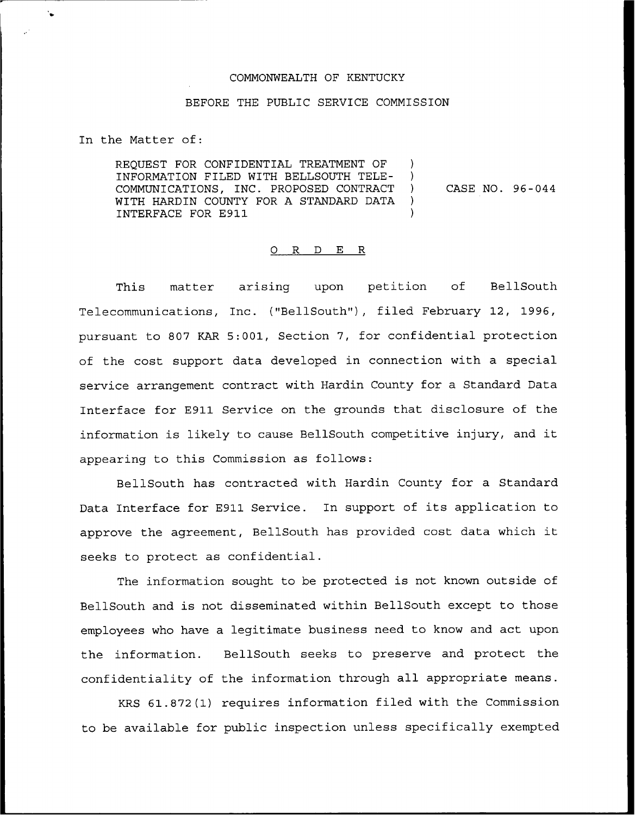## COMMONWEALTH OF KENTUCKY

## BEFORE THE PUBLIC SERVICE COMMISSION

In the Matter of:

REQUEST FOR CONFIDENTIAL TREATMENT OF INFORMATION FILED WITH BELLSOUTH TELE-COMMUNICATIONS, INC. PROPOSED CONTRACT WITH HARDIN COUNTY FOR A STANDARD DATA INTERFACE FOR E911 ) ) ) CASE NO. 96-044 ) )

## 0 R <sup>D</sup> E R

This matter arising upon petition of BellSouth Telecommunications, Inc. ("BellSouth"), filed February 12, 1996, pursuant to 807 KAR 5:001, Section 7, for confidential protection of the cost support data developed in connection with a special service arrangement contract with Hardin County for a Standard Data Interface for E911 Service on the grounds that disclosure of the information is likely to cause BellSouth competitive injury, and it appearing to this Commission as follows:

BellSouth has contracted with Hardin County for a Standard Data Interface for E911 Service. In support of its application to approve the agreement, BellSouth has provided cost data which it seeks to protect as confidential.

The information sought to be protected is not known outside of BellSouth and is not disseminated within BellSouth except to those employees who have a legitimate business need to know and act upon the information. BellSouth seeks to preserve and protect the confidentiality of the information through all appropriate means.

KRS 61.872(1) requires information filed with the Commission to be available for public inspection unless specifically exempted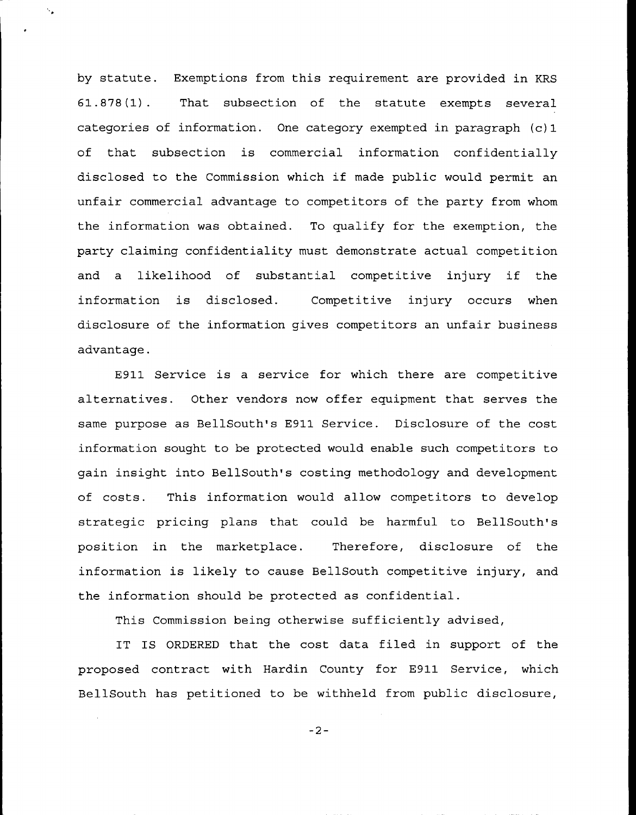by statute. Exemptions from this requirement are provided in KRS 61.878(1). That subsection of the statute exempts several categories of information. One category exempted in paragraph  $(c)$  1 of that subsection is commercial information confidentially disclosed to the Commission which if made public would permit an unfair commercial advantage to competitors of the party from whom the information was obtained. To qualify for the exemption, the party claiming confidentiality must demonstrate actual competition and <sup>a</sup> likelihood of substantial competitive injury if the inf ormation is disclosed. Competitive injury occurs when disclosure of the information gives competitors an unfair business advantage.

E911 Service is a service for which there are competitive alternatives. Other vendors now offer equipment that serves the same purpose as BellSouth's E911 Service. Disclosure of the cost information sought to be protected would enable such competitors to gain insight into BellSouth's costing methodology and development of costs. This information would allow competitors to develop strategic pricing plans that could be harmful to BellSouth's position in the marketplace. Therefore, disclosure of the information is likely to cause BellSouth competitive injury, and the information should be protected as confidential.

This Commission being otherwise sufficiently advised,

IT IS ORDERED that the cost data filed in support of the proposed contract with Hardin County for E911 Service, which BellSouth has petitioned to be withheld from public disclosure,

 $-2-$